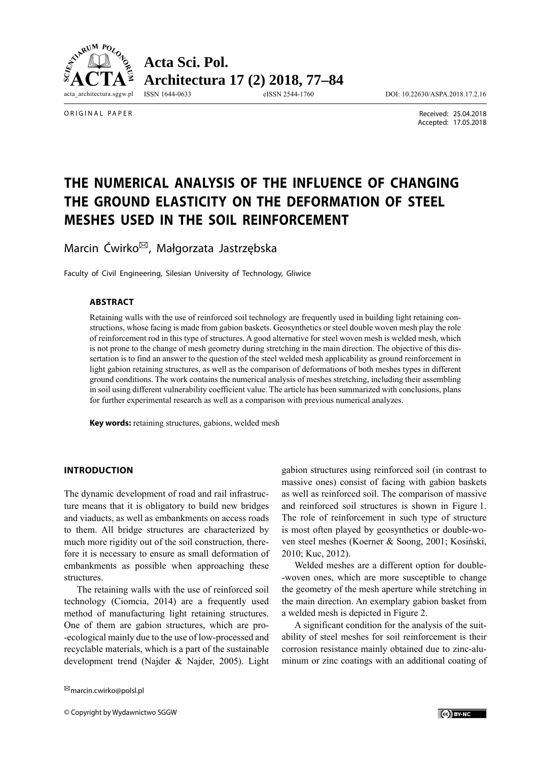

ORIGINAL PAPER

 Received: 25.04.2018 Accepted: 17.05.2018

# **THE NUMERICAL ANALYSIS OF THE INFLUENCE OF CHANGING THE GROUND ELASTICITY ON THE DEFORMATION OF STEEL MESHES USED IN THE SOIL REINFORCEMENT**

Marcin Ćwirko<sup>⊠</sup>, Małgorzata Jastrzębska

Faculty of Civil Engineering, Silesian University of Technology, Gliwice

## **ABSTRACT**

Retaining walls with the use of reinforced soil technology are frequently used in building light retaining constructions, whose facing is made from gabion baskets. Geosynthetics or steel double woven mesh play the role of reinforcement rod in this type of structures. A good alternative for steel woven mesh is welded mesh, which is not prone to the change of mesh geometry during stretching in the main direction. The objective of this dissertation is to find an answer to the question of the steel welded mesh applicability as ground reinforcement in light gabion retaining structures, as well as the comparison of deformations of both meshes types in different ground conditions. The work contains the numerical analysis of meshes stretching, including their assembling in soil using different vulnerability coefficient value. The article has been summarized with conclusions, plans for further experimental research as well as a comparison with previous numerical analyzes.

**Key words:** retaining structures, gabions, welded mesh

# **INTRODUCTION**

The dynamic development of road and rail infrastructure means that it is obligatory to build new bridges and viaducts, as well as embankments on access roads to them. All bridge structures are characterized by much more rigidity out of the soil construction, therefore it is necessary to ensure as small deformation of embankments as possible when approaching these structures.

The retaining walls with the use of reinforced soil technology (Ciomcia, 2014) are a frequently used method of manufacturing light retaining structures. One of them are gabion structures, which are pro- -ecological mainly due to the use of low-processed and recyclable materials, which is a part of the sustainable development trend (Najder & Najder, 2005). Light

gabion structures using reinforced soil (in contrast to massive ones) consist of facing with gabion baskets as well as reinforced soil. The comparison of massive and reinforced soil structures is shown in Figure 1. The role of reinforcement in such type of structure is most often played by geosynthetics or double-woven steel meshes (Koerner & Soong, 2001; Kosiński, 2010; Kuc, 2012).

Welded meshes are a different option for double- -woven ones, which are more susceptible to change the geometry of the mesh aperture while stretching in the main direction. An exemplary gabion basket from a welded mesh is depicted in Figure 2.

A significant condition for the analysis of the suitability of steel meshes for soil reinforcement is their corrosion resistance mainly obtained due to zinc-aluminum or zinc coatings with an additional coating of

 $^{\boxtimes}$ marcin.cwirko@polsl.pl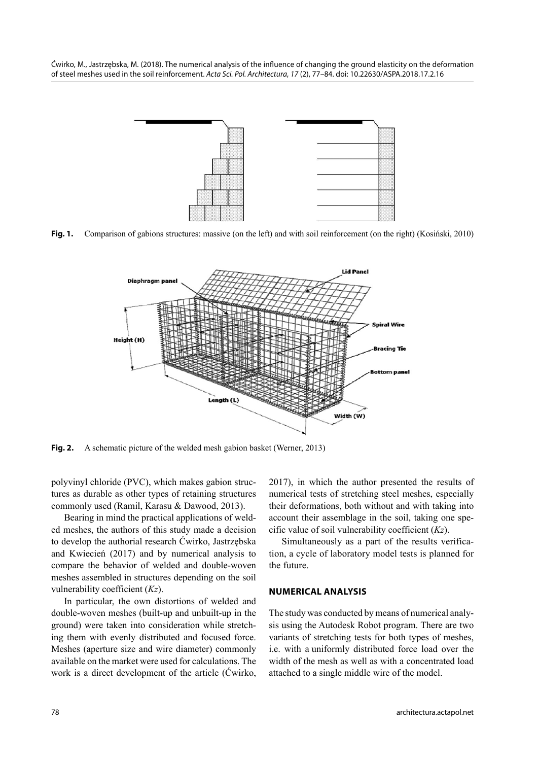



**Fig. 1.** Comparison of gabions structures: massive (on the left) and with soil reinforcement (on the right) (Kosiński, 2010)



**Fig. 2.** A schematic picture of the welded mesh gabion basket (Werner, 2013)

polyvinyl chloride (PVC), which makes gabion structures as durable as other types of retaining structures commonly used (Ramil, Karasu & Dawood, 2013).

Bearing in mind the practical applications of welded meshes, the authors of this study made a decision to develop the authorial research Ćwirko, Jastrzębska and Kwiecień (2017) and by numerical analysis to compare the behavior of welded and double-woven meshes assembled in structures depending on the soil vulnerability coefficient (*Kz*).

In particular, the own distortions of welded and double-woven meshes (built-up and unbuilt-up in the ground) were taken into consideration while stretching them with evenly distributed and focused force. Meshes (aperture size and wire diameter) commonly avail able on the market were used for calculations. The work is a direct development of the article (Ćwirko, 2017), in which the author presented the results of numerical tests of stretching steel meshes, especially their deformations, both without and with taking into account their assemblage in the soil, taking one specific value of soil vulnerability coefficient (*Kz*).

Simultaneously as a part of the results verification, a cycle of laboratory model tests is planned for the future.

#### **NUMERICAL ANALYSIS**

The study was conducted by means of numerical analysis using the Autodesk Robot program. There are two variants of stretching tests for both types of meshes, i.e. with a uniformly distributed force load over the width of the mesh as well as with a concentrated load attached to a single middle wire of the model.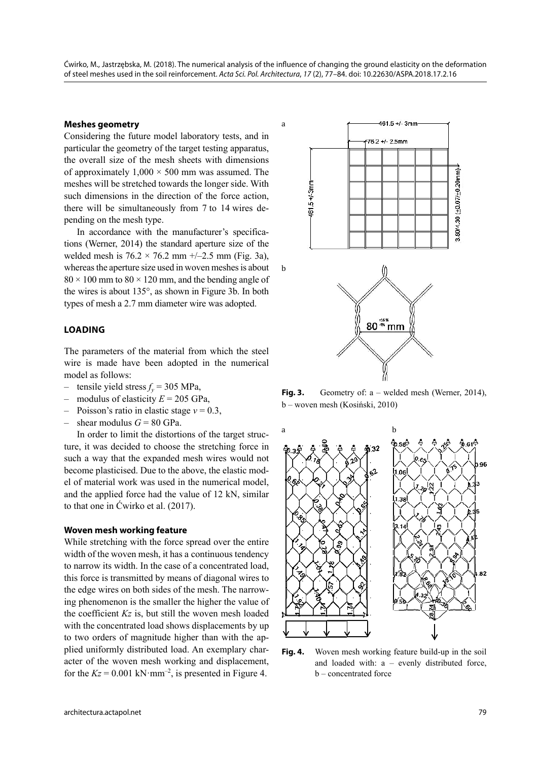## **Meshes geometry**

Considering the future model laboratory tests, and in particular the geometry of the target testing apparatus, the overall size of the mesh sheets with dimensions of approximately  $1,000 \times 500$  mm was assumed. The meshes will be stretched towards the longer side. With such dimensions in the direction of the force action, there will be simultaneously from 7 to 14 wires depending on the mesh type.

In accordance with the manufacturer's specifications (Werner, 2014) the standard aperture size of the welded mesh is  $76.2 \times 76.2$  mm  $+/-2.5$  mm (Fig. 3a), whereas the aperture size used in woven meshes is about  $80 \times 100$  mm to  $80 \times 120$  mm, and the bending angle of the wires is about 135°, as shown in Figure 3b. In both types of mesh a 2.7 mm diameter wire was adopted.

#### **LOADING**

The parameters of the material from which the steel wire is made have been adopted in the numerical model as follows:

- tensile yield stress  $f_v$  = 305 MPa,
- modulus of elasticity  $E = 205$  GPa,
- Poisson's ratio in elastic stage *ν* = 0.3,
- shear modulus  $G = 80$  GPa.

In order to limit the distortions of the target structure, it was decided to choose the stretching force in such a way that the expanded mesh wires would not become plasticised. Due to the above, the elastic model of material work was used in the numerical model, and the applied force had the value of 12 kN, similar to that one in Ćwirko et al. (2017).

#### **Woven mesh working feature**

While stretching with the force spread over the entire width of the woven mesh, it has a continuous tendency to narrow its width. In the case of a concentrated load, this force is transmitted by means of diagonal wires to the edge wires on both sides of the mesh. The narrowing phenomenon is the smaller the higher the value of the coefficient *Kz* is, but still the woven mesh loaded with the concentrated load shows displacements by up to two orders of magnitude higher than with the applied uniformly distributed load. An exemplary character of the woven mesh working and displacement, for the  $Kz = 0.001 \text{ kN·mm}^{-2}$ , is presented in Figure 4.



Fig. 3. Geometry of: a – welded mesh (Werner, 2014), b – woven mesh (Kosiński, 2010)



**Fig. 4.** Woven mesh working feature build-up in the soil and loaded with: a – evenly distributed force, b – concentrated force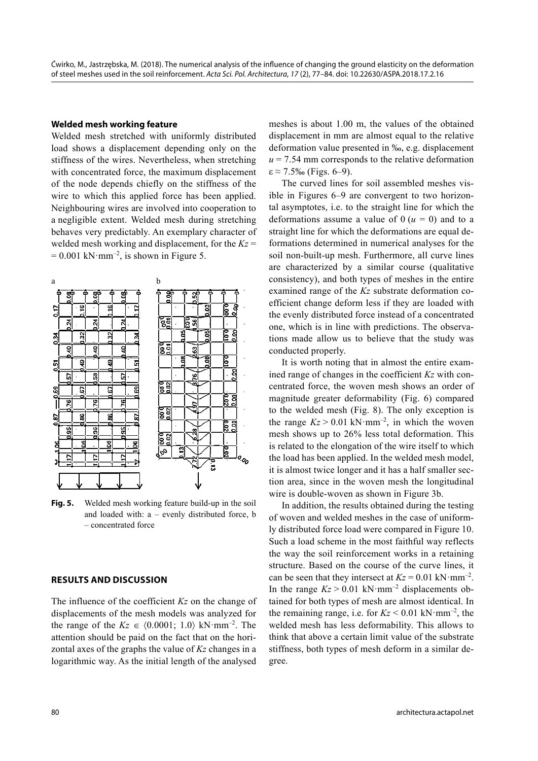#### **Welded mesh working feature**

Welded mesh stretched with uniformly distributed load shows a displacement depending only on the stiffness of the wires. Nevertheless, when stretching with concentrated force, the maximum displacement of the node depends chiefly on the stiffness of the wire to which this applied force has been applied. Neighbouring wires are involved into cooperation to a negligible extent. Welded mesh during stretching behaves very predictably. An exemplary character of welded mesh working and displacement, for the  $Kz =$  $= 0.001$  kN·mm<sup>-2</sup>, is shown in Figure 5.



**Fig. 5.** Welded mesh working feature build-up in the soil and loaded with: a – evenly distributed force, b – concentrated force

## **RESULTS AND DISCUSSION**

The influence of the coefficient *Kz* on the change of displacements of the mesh models was analyzed for the range of the  $Kz \in (0.0001; 1.0) \text{ kN·mm}^{-2}$ . The attention should be paid on the fact that on the horizontal axes of the graphs the value of *Kz* changes in a logarithmic way. As the initial length of the analysed

meshes is about 1.00 m, the values of the obtained displacement in mm are almost equal to the relative deformation value presented in ‰, e.g. displacement  $u = 7.54$  mm corresponds to the relative deformation  $\varepsilon \approx 7.5\%$  (Figs. 6–9).

The curved lines for soil assembled meshes visible in Figures 6–9 are convergent to two horizontal asymptotes, i.e. to the straight line for which the deformations assume a value of  $0 (u = 0)$  and to a straight line for which the deformations are equal deformations determined in numerical analyses for the soil non-built-up mesh. Furthermore, all curve lines are characterized by a similar course (qualitative consistency), and both types of meshes in the entire examined range of the *Kz* substrate deformation coefficient change deform less if they are loaded with the evenly distributed force instead of a concentrated one, which is in line with predictions. The observations made allow us to believe that the study was conducted properly.

It is worth noting that in almost the entire examined range of changes in the coefficient *Kz* with concentrated force, the woven mesh shows an order of magnitude greater deformability (Fig. 6) compared to the welded mesh (Fig. 8). The only exception is the range  $Kz > 0.01$  kN·mm<sup>-2</sup>, in which the woven mesh shows up to 26% less total deformation. This is related to the elongation of the wire itself to which the load has been applied. In the welded mesh model, it is almost twice longer and it has a half smaller section area, since in the woven mesh the longitudinal wire is double-woven as shown in Figure 3b.

In addition, the results obtained during the testing of woven and welded meshes in the case of uniformly distributed force load were compared in Figure 10. Such a load scheme in the most faithful way reflects the way the soil reinforcement works in a retaining structure. Based on the course of the curve lines, it can be seen that they intersect at  $Kz = 0.01 \text{ kN·mm}^{-2}$ . In the range  $Kz > 0.01$  kN·mm<sup>-2</sup> displacements obtained for both types of mesh are almost identical. In the remaining range, i.e. for  $Kz \le 0.01 \text{ kN·mm}^{-2}$ , the welded mesh has less deformability. This allows to think that above a certain limit value of the substrate stiffness, both types of mesh deform in a similar degree.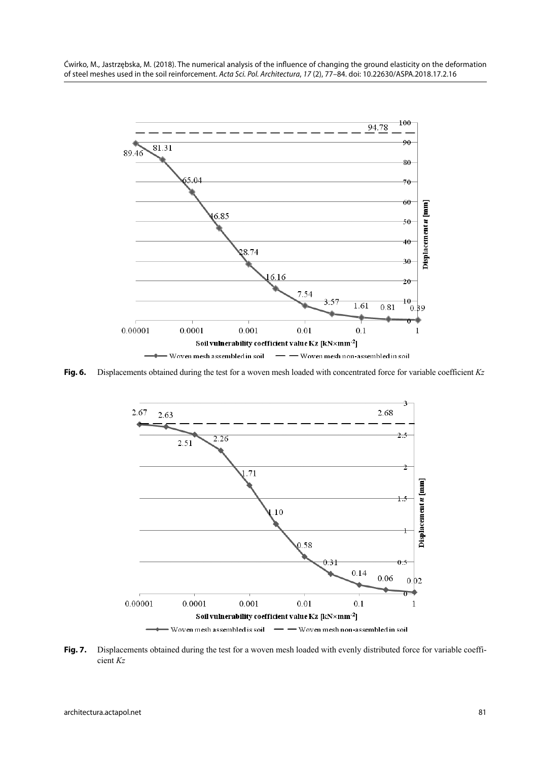Ćwirko, M., Jastrzębska, M. (2018). The numerical analysis of the influence of changing the ground elasticity on the deformation of steel meshes used in the soil reinforcement. Acta Sci. Pol. Architectura, 17 (2), 77–84. doi: 10.22630/ASPA.2018.17.2.16



**Fig. 6.** Displacements obtained during the test for a woven mesh loaded with concentrated force for variable coefficient *Kz* 



**Fig. 7.** Displacements obtained during the test for a woven mesh loaded with evenly distributed force for variable coefficient *Kz*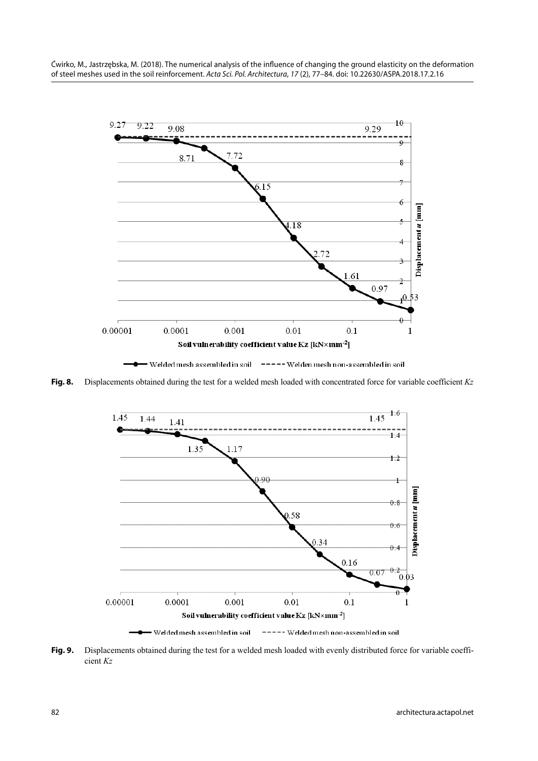

■ Welded mesh assembled in soil – ===== Welden mesh non-assembled in soil

**Fig. 8.** Displacements obtained during the test for a welded mesh loaded with concentrated force for variable coefficient *Kz*



**Fig. 9.** Displacements obtained during the test for a welded mesh loaded with evenly distributed force for variable coefficient *Kz*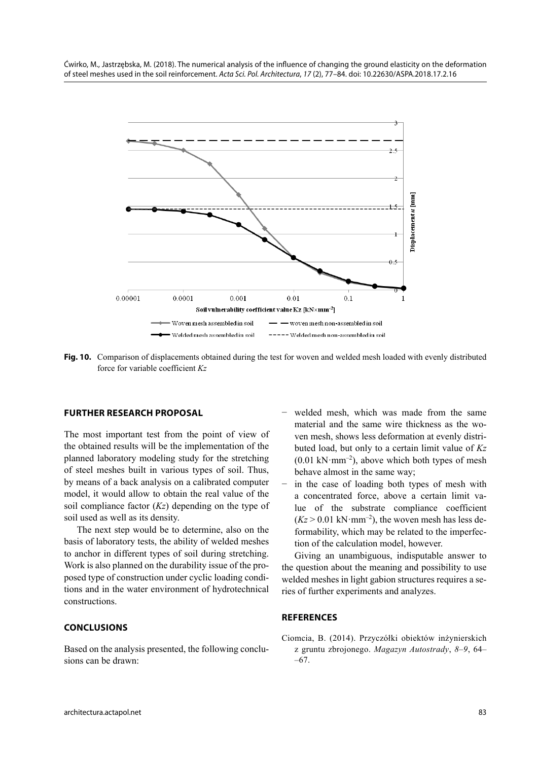

**Fig. 10.** Comparison of displacements obtained during the test for woven and welded mesh loaded with evenly distributed force for variable coefficient *Kz*

# **FURTHER RESEARCH PROPOSAL**

The most important test from the point of view of the obtained results will be the implementation of the planned laboratory modeling study for the stretching of steel meshes built in various types of soil. Thus, by means of a back analysis on a calibrated computer model, it would allow to obtain the real value of the soil compliance factor (*Kz*) depending on the type of soil used as well as its density.

The next step would be to determine, also on the basis of laboratory tests, the ability of welded meshes to anchor in different types of soil during stretching. Work is also planned on the durability issue of the proposed type of construction under cyclic loading conditions and in the water environment of hydrotechnical constructions.

# **CONCLUSIONS**

Based on the analysis presented, the following conclusions can be drawn:

- welded mesh, which was made from the same material and the same wire thickness as the woven mesh, shows less deformation at evenly distributed load, but only to a certain limit value of *Kz*  $(0.01 \text{ kN·mm}^{-2})$ , above which both types of mesh behave almost in the same way;
- in the case of loading both types of mesh with a concentrated force, above a certain limit value of the substrate compliance coefficient  $(Kz > 0.01 \text{ kN·mm}^{-2})$ , the woven mesh has less deformability, which may be related to the imperfection of the calculation model, however.

Giving an unambiguous, indisputable answer to the question about the meaning and possibility to use welded meshes in light gabion structures requires a series of further experiments and analyzes.

## **REFERENCES**

Ciomcia, B. (2014). Przyczółki obiektów inżynierskich z gruntu zbrojonego. *Magazyn Autostrady*, *8–9*, 64– –67.